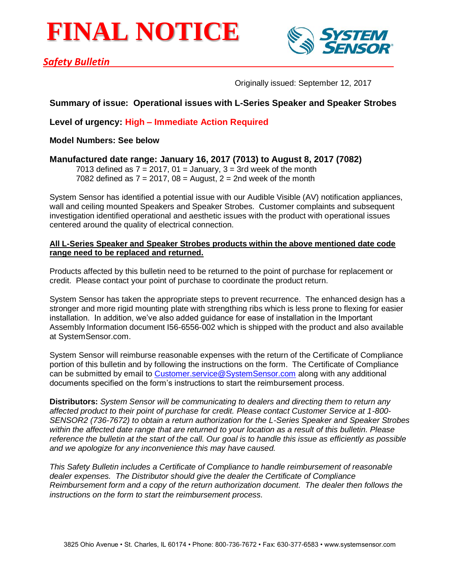# **FINAL NOTICE**



## *Safety Bulletin*

Originally issued: September 12, 2017

## **Summary of issue: Operational issues with L-Series Speaker and Speaker Strobes**

**Level of urgency: High – Immediate Action Required**

**Model Numbers: See below**

**Manufactured date range: January 16, 2017 (7013) to August 8, 2017 (7082)**

7013 defined as  $7 = 2017$ ,  $01 =$  January,  $3 = 3$ rd week of the month 7082 defined as  $7 = 2017$ ,  $08 =$  August,  $2 = 2$ nd week of the month

System Sensor has identified a potential issue with our Audible Visible (AV) notification appliances, wall and ceiling mounted Speakers and Speaker Strobes. Customer complaints and subsequent investigation identified operational and aesthetic issues with the product with operational issues centered around the quality of electrical connection.

#### **All L-Series Speaker and Speaker Strobes products within the above mentioned date code range need to be replaced and returned.**

Products affected by this bulletin need to be returned to the point of purchase for replacement or credit. Please contact your point of purchase to coordinate the product return.

System Sensor has taken the appropriate steps to prevent recurrence. The enhanced design has a stronger and more rigid mounting plate with strengthing ribs which is less prone to flexing for easier installation. In addition, we've also added guidance for ease of installation in the Important Assembly Information document I56-6556-002 which is shipped with the product and also available at SystemSensor.com.

System Sensor will reimburse reasonable expenses with the return of the Certificate of Compliance portion of this bulletin and by following the instructions on the form. The Certificate of Compliance can be submitted by email to [Customer.service@SystemSensor.com](mailto:Customer.service@SystemSensor.com) along with any additional documents specified on the form's instructions to start the reimbursement process.

**Distributors:** *System Sensor will be communicating to dealers and directing them to return any affected product to their point of purchase for credit. Please contact Customer Service at 1-800- SENSOR2 (736-7672) to obtain a return authorization for the L-Series Speaker and Speaker Strobes within the affected date range that are returned to your location as a result of this bulletin. Please reference the bulletin at the start of the call. Our goal is to handle this issue as efficiently as possible and we apologize for any inconvenience this may have caused.* 

*This Safety Bulletin includes a Certificate of Compliance to handle reimbursement of reasonable dealer expenses. The Distributor should give the dealer the Certificate of Compliance Reimbursement form and a copy of the return authorization document. The dealer then follows the instructions on the form to start the reimbursement process.*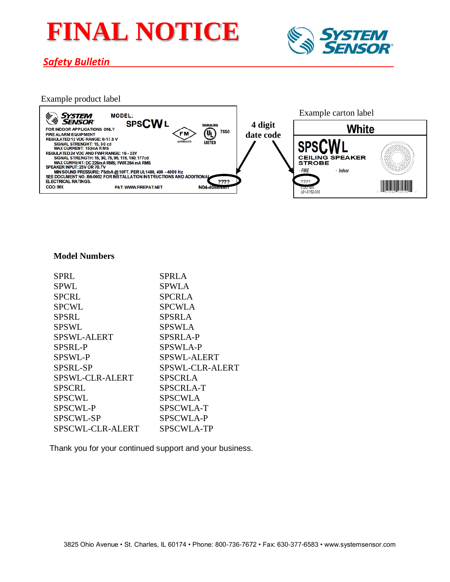# **FINAL NOTICE**



## *Safety Bulletin*

### Example product label



#### **Model Numbers**

| <b>SPRL</b>      | <b>SPRLA</b>       |
|------------------|--------------------|
| <b>SPWL</b>      | SPWLA              |
| <b>SPCRL</b>     | <b>SPCRLA</b>      |
| <b>SPCWL</b>     | <b>SPCWLA</b>      |
| <b>SPSRL</b>     | <b>SPSRLA</b>      |
| <b>SPSWL</b>     | <b>SPSWLA</b>      |
| SPSWL-ALERT      | <b>SPSRLA-P</b>    |
| SPSRL-P          | SPSWLA-P           |
| SPSWL-P          | <b>SPSWL-ALERT</b> |
| SPSRL-SP         | SPSWL-CLR-ALERT    |
| SPSWL-CLR-ALERT  | <b>SPSCRLA</b>     |
| <b>SPSCRL</b>    | SPSCRLA-T          |
| <b>SPSCWL</b>    | <b>SPSCWLA</b>     |
| SPSCWL-P         | <b>SPSCWLA-T</b>   |
| SPSCWL-SP        | <b>SPSCWLA-P</b>   |
| SPSCWL-CLR-ALERT | <b>SPSCWLA-TP</b>  |

Thank you for your continued support and your business.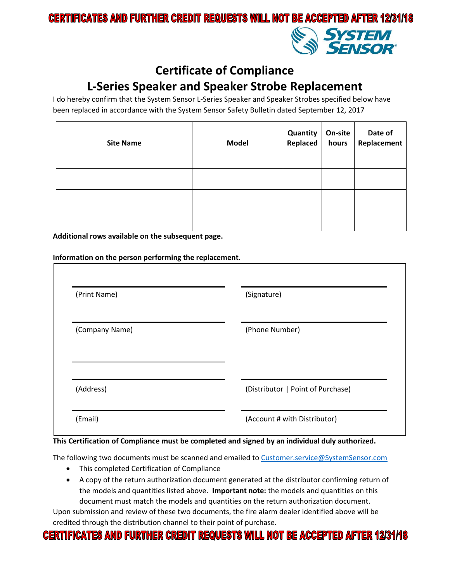## **CERTIFICATES AND FURTHER CREDIT REQUESTS WILL NOT BE ACCEPTED AFTER 12/31/18**



# **Certificate of Compliance**

# **L-Series Speaker and Speaker Strobe Replacement**

I do hereby confirm that the System Sensor L-Series Speaker and Speaker Strobes specified below have been replaced in accordance with the System Sensor Safety Bulletin dated September 12, 2017

| <b>Site Name</b> | <b>Model</b> | Quantity   On-site<br>Replaced   hours | On-site | Date of<br>Replacement |
|------------------|--------------|----------------------------------------|---------|------------------------|
|                  |              |                                        |         |                        |
|                  |              |                                        |         |                        |
|                  |              |                                        |         |                        |
|                  |              |                                        |         |                        |

**Additional rows available on the subsequent page.** 

| (Print Name)   | (Signature)                       |
|----------------|-----------------------------------|
| (Company Name) | (Phone Number)                    |
| (Address)      | (Distributor   Point of Purchase) |

#### **This Certification of Compliance must be completed and signed by an individual duly authorized.**

The following two documents must be scanned and emailed to [Customer.service@SystemSensor.com](mailto:Customer.service@SystemSensor.com)

- This completed Certification of Compliance
- A copy of the return authorization document generated at the distributor confirming return of the models and quantities listed above. **Important note:** the models and quantities on this document must match the models and quantities on the return authorization document.

Upon submission and review of these two documents, the fire alarm dealer identified above will be credited through the distribution channel to their point of purchase.

# **CERTIFICATES AND FURTHER CREDIT REQUESTS WILL NOT BE ACCEPTED AFTER 12/31/18**